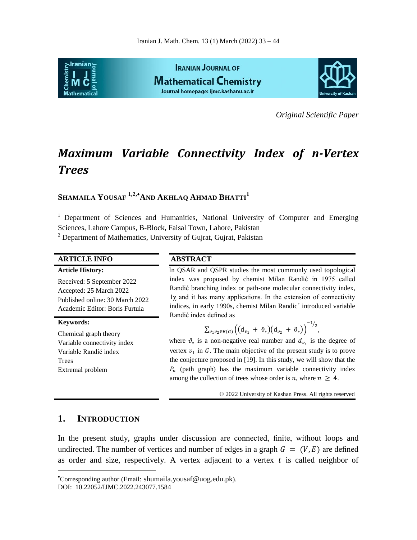

*Original Scientific Paper*

# *Maximum Variable Connectivity Index of n-Vertex Trees*

## **SHAMAILA YOUSAF 1,2,AND AKHLAQ AHMAD BHATTI<sup>1</sup>**

<sup>1</sup> Department of Sciences and Humanities, National University of Computer and Emerging Sciences, Lahore Campus, B-Block, Faisal Town, Lahore, Pakistan  $2$  Department of Mathematics, University of Gujrat, Gujrat, Pakistan

 $\overline{a}$ 

#### **ARTICLE INFO ABSTRACT**

| <b>Article History:</b>                                                                                                    | In QSAR and QSPR studies the most commonly used topological                                                                                                                                                                                                                                              |
|----------------------------------------------------------------------------------------------------------------------------|----------------------------------------------------------------------------------------------------------------------------------------------------------------------------------------------------------------------------------------------------------------------------------------------------------|
| Received: 5 September 2022<br>Accepted: 25 March 2022<br>Published online: 30 March 2022<br>Academic Editor: Boris Furtula | index was proposed by chemist Milan Randić in 1975 called<br>Randić branching index or path-one molecular connectivity index,<br>$1\chi$ and it has many applications. In the extension of connectivity<br>indices, in early 1990s, chemist Milan Randic' introduced variable<br>Randić index defined as |
| <b>Keywords:</b>                                                                                                           |                                                                                                                                                                                                                                                                                                          |
| Chemical graph theory                                                                                                      | $\sum_{v_1v_2 \in E(G)} \left( \left( d_{v_1} + \vartheta_* \right) \left( d_{v_2} + \vartheta_* \right) \right)^{-1/2},$                                                                                                                                                                                |
| Variable connectivity index                                                                                                | where $\vartheta_*$ is a non-negative real number and $d_{\nu_*}$ is the degree of                                                                                                                                                                                                                       |
| Variable Randić index                                                                                                      | vertex $v_1$ in G. The main objective of the present study is to prove                                                                                                                                                                                                                                   |
| Trees                                                                                                                      | the conjecture proposed in [19]. In this study, we will show that the                                                                                                                                                                                                                                    |
| Extremal problem                                                                                                           | $P_n$ (path graph) has the maximum variable connectivity index                                                                                                                                                                                                                                           |

among the collection of trees whose order is *n*, where  $n \geq 4$ .

© 2022 University of Kashan Press. All rights reserved

**1. INTRODUCTION**

In the present study, graphs under discussion are connected, finite, without loops and undirected. The number of vertices and number of edges in a graph  $G = (V, E)$  are defined as order and size, respectively. A vertex adjacent to a vertex  $t$  is called neighbor of

Corresponding author (Email: shumaila.yousaf@uog.edu.pk).

DOI: 10.22052/IJMC.2022.243077.1584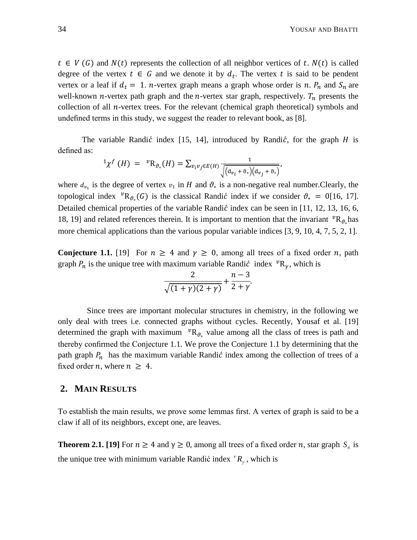$t \in V(G)$  and  $N(t)$  represents the collection of all neighbor vertices of t.  $N(t)$  is called degree of the vertex  $t \in G$  and we denote it by  $d_t$ . The vertex t is said to be pendent vertex or a leaf if  $d_t = 1$ . *n*-vertex graph means a graph whose order is *n*.  $P_n$  and  $S_n$  are well-known *n*-vertex path graph and the *n*-vertex star graph, respectively.  $T_n$  presents the collection of all  $n$ -vertex trees. For the relevant (chemical graph theoretical) symbols and undefined terms in this study, we suggest the reader to relevant book, as [8].

The variable Randić index [15, 14], introduced by Randić, for the graph  $H$  is defined as:

$$
{}^{1}\chi^{f}(H) = {}^{v}R_{\vartheta_{*}}(H) = \sum_{v_{i}v_{j} \in E(H)} \frac{1}{\sqrt{(d_{v_{i}} + \vartheta_{*})(d_{v_{j}} + \vartheta_{*})}},
$$

where  $d_{v_1}$  is the degree of vertex  $v_1$  in H and  $\vartheta_*$  is a non-negative real number. Clearly, the topological index  ${}^v{\rm R}_{\theta_*}(G)$  is the classical Randic index if we consider  $\theta_* = 0[16, 17]$ . Detailed chemical properties of the variable Randić index can be seen in  $[11, 12, 13, 16, 6,$ 18, 19] and related references therein. It is important to mention that the invariant  ${}^{\nu}R_{\vartheta}$  has more chemical applications than the various popular variable indices [3, 9, 10, 4, 7, 5, 2, 1].

**Conjecture 1.1.** [19] For  $n \geq 4$  and  $\gamma \geq 0$ , among all trees of a fixed order *n*, path graph  $P_n$  is the unique tree with maximum variable Randic index  ${}^{\nu}R_{\gamma}$ , which is

$$
\frac{2}{\sqrt{(1+\gamma)(2+\gamma)}}+\frac{n-3}{2+\gamma}.
$$

Since trees are important molecular structures in chemistry, in the following we only deal with trees i.e. connected graphs without cycles. Recently, Yousaf et al. [19] determined the graph with maximum  ${}^{\nu}R_{\vartheta_{\nu}}$  value among all the class of trees is path and thereby confirmed the Conjecture 1.1. We prove the Conjecture 1.1 by determining that the path graph  $P_n$  has the maximum variable Randic index among the collection of trees of a fixed order *n*, where  $n \geq 4$ .

#### **2. MAIN RESULTS**

To establish the main results, we prove some lemmas first. A vertex of graph is said to be a claw if all of its neighbors, except one, are leaves.

**Theorem 2.1. [19]** For  $n \ge 4$  and  $\gamma \ge 0$ , among all trees of a fixed order *n*, star graph  $S_n$  is the unique tree with minimum variable Randić index  ${}^{\nu}R_{\gamma}$ , which is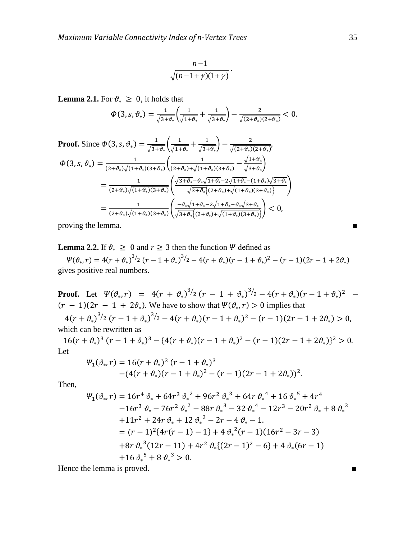$$
\frac{n-1}{\sqrt{(n-1+\gamma)(1+\gamma)}}.
$$

**Lemma 2.1.** For  $\vartheta_* \geq 0$ , it holds that

$$
\varPhi(3,s,\vartheta_*)=\frac{1}{\sqrt{3+\vartheta_*}}\left(\frac{1}{\sqrt{1+\vartheta_*}}+\frac{1}{\sqrt{3+\vartheta_*}}\right)-\frac{2}{\sqrt{(2+\vartheta_*)(2+\vartheta_*)}}<0.
$$

Proof. Since 
$$
\Phi(3, s, \vartheta_*) = \frac{1}{\sqrt{3+\vartheta_*}} \left( \frac{1}{\sqrt{1+\vartheta_*}} + \frac{1}{\sqrt{3+\vartheta_*}} \right) - \frac{2}{\sqrt{(2+\vartheta_*)(2+\vartheta_*)}}
$$
,  
\n
$$
\Phi(3, s, \vartheta_*) = \frac{1}{(2+\vartheta_*)\sqrt{(1+\vartheta_*)(3+\vartheta_*)}} \left( \frac{1}{(2+\vartheta_*)+\sqrt{(1+\vartheta_*)(3+\vartheta_*)}} - \frac{\sqrt{1+\vartheta_*}}{\sqrt{3+\vartheta_*}} \right)
$$
\n
$$
= \frac{1}{(2+\vartheta_*)\sqrt{(1+\vartheta_*)(3+\vartheta_*)}} \left( \frac{\sqrt{3+\vartheta_*}-\vartheta_*\sqrt{1+\vartheta_*}-2\sqrt{1+\vartheta_*}-(1+\vartheta_*)\sqrt{3+\vartheta_*}}{\sqrt{3+\vartheta_*}\left\{ (2+\vartheta_*)+\sqrt{(1+\vartheta_*)(3+\vartheta_*)} \right\}} \right)
$$
\n
$$
= \frac{1}{(2+\vartheta_*)\sqrt{(1+\vartheta_*)(3+\vartheta_*)}} \left( \frac{-\vartheta_*\sqrt{1+\vartheta_*}-2\sqrt{1+\vartheta_*}-\vartheta_*\sqrt{3+\vartheta_*}}{\sqrt{3+\vartheta_*}\left\{ (2+\vartheta_*)+\sqrt{(1+\vartheta_*)(3+\vartheta_*)} \right\}} \right) < 0,
$$

proving the lemma.

**Lemma 2.2.** If  $\vartheta_* \geq 0$  and  $r \geq 3$  then the function  $\Psi$  defined as

 $\Psi(\vartheta_*,r) = 4(r + \vartheta_*)^{3/2} (r - 1 + \vartheta_*)^{3/2} - 4(r + \vartheta_*)(r - 1 + \vartheta_*)^2 - (r - 1)(2r - 1 + 2\vartheta_*)$ gives positive real numbers.

**Proof.** Let  $\Psi(\vartheta_*, r) = 4(r + \vartheta_*)^{3/2} (r - 1 + \vartheta_*)^{3/2} - 4(r + \vartheta_*) (r - 1 + \vartheta_*)^2$  $(r-1)(2r-1+2\vartheta_{*})$ . We have to show that  $\Psi(\vartheta_{*}, r) > 0$  implies that  $4(r + \vartheta_*)^{3/2} (r - 1 + \vartheta_*)^{3/2} - 4(r + \vartheta_*)(r - 1 + \vartheta_*)^2 - (r - 1)(2r - 1 + 2\vartheta_*)$ which can be rewritten as

 $16(r + \vartheta_*)^3 (r - 1 + \vartheta_*)^3 - \{4(r + \vartheta_*)(r - 1 + \vartheta_*)^2 - (r - 1)(2r - 1 + 2\vartheta_*)\}^2$ Let

$$
\Psi_1(\vartheta_*, r) = 16(r + \vartheta_*)^3 (r - 1 + \vartheta_*)^3
$$
  
-(4(r + \vartheta\_\*)(r - 1 + \vartheta\_\*)^2 - (r - 1)(2r - 1 + 2\vartheta\_\*))^2.

Then,

$$
\Psi_{1}(\vartheta_{*},r) = 16r^{4} \vartheta_{*} + 64r^{3} \vartheta_{*}^{2} + 96r^{2} \vartheta_{*}^{3} + 64r \vartheta_{*}^{4} + 16 \vartheta_{*}^{5} + 4r^{4}
$$
  
\n
$$
-16r^{3} \vartheta_{*} - 76r^{2} \vartheta_{*}^{2} - 88r \vartheta_{*}^{3} - 32 \vartheta_{*}^{4} - 12r^{3} - 20r^{2} \vartheta_{*} + 8 \vartheta_{*}^{3}
$$
  
\n
$$
+11r^{2} + 24r \vartheta_{*} + 12 \vartheta_{*}^{2} - 2r - 4 \vartheta_{*} - 1.
$$
  
\n
$$
= (r - 1)^{2} \{4r(r - 1) - 1\} + 4 \vartheta_{*}^{2}(r - 1)(16r^{2} - 3r - 3)
$$
  
\n
$$
+8r \vartheta_{*}^{3}(12r - 11) + 4r^{2} \vartheta_{*}\{(2r - 1)^{2} - 6\} + 4 \vartheta_{*}(6r - 1)
$$
  
\n
$$
+16 \vartheta_{*}^{5} + 8 \vartheta_{*}^{3} > 0.
$$

Hence the lemma is proved. ■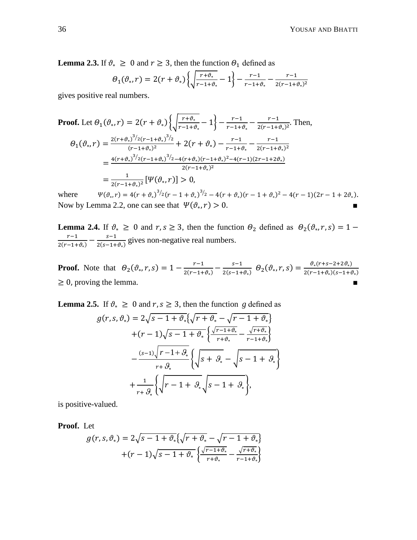**Lemma 2.3.** If  $\vartheta_* \geq 0$  and  $r \geq 3$ , then the function  $\theta_1$  defined as

$$
\Theta_1(\vartheta_*,r) = 2(r+\vartheta_*)\left\{\sqrt{\frac{r+\vartheta_*}{r-1+\vartheta_*}}-1\right\} - \frac{r-1}{r-1+\vartheta_*} - \frac{r-1}{2(r-1+\vartheta_*)^2}
$$

gives positive real numbers.

Proof. Let 
$$
\theta_1(\vartheta_*, r) = 2(r + \vartheta_*)\left\{\sqrt{\frac{r + \vartheta_*}{r - 1 + \vartheta_*}} - 1\right\} - \frac{r - 1}{r - 1 + \vartheta_*} - \frac{r - 1}{2(r - 1 + \vartheta_*)^2}
$$
. Then,  
\n
$$
\theta_1(\vartheta_*, r) = \frac{2(r + \vartheta_*)^{3/2}(r - 1 + \vartheta_*)^{3/2}}{(r - 1 + \vartheta_*)^2} + 2(r + \vartheta_*) - \frac{r - 1}{r - 1 + \vartheta_*} - \frac{r - 1}{2(r - 1 + \vartheta_*)^2}
$$
\n
$$
= \frac{4(r + \vartheta_*)^{3/2}(r - 1 + \vartheta_*)^{3/2} - 4(r + \vartheta_*) (r - 1 + \vartheta_*)^2 - 4(r - 1)(2r - 1 + 2\vartheta_*)}{2(r - 1 + \vartheta_*)^2}
$$
\n
$$
= \frac{1}{2(r - 1 + \vartheta_*)^2} [\Psi(\vartheta_*, r)] > 0,
$$

where  $\mathcal{L}(r) = 4(r + \vartheta_*)^3/2(r - 1 + \vartheta_*)^3/2 - 4(r + \vartheta_*)(r - 1 + \vartheta_*)^2 - 4(r - 1)(2r - 1 + 2\vartheta_*).$ Now by Lemma 2.2, one can see that  $\Psi(\vartheta_*, r) > 0$ .

**Lemma 2.4.** If  $\vartheta_* \geq 0$  and  $r, s \geq 3$ , then the function  $\theta_2$  defined as  $\theta_2(\vartheta_*)$ r  $\frac{r-1}{2(r-1+\vartheta_*)}-\frac{s}{2(s-1)}$  $\frac{s-1}{2(s-1+\vartheta)}$  gives non-negative real numbers.

**Proof.** Note that  $\theta_2(\theta_*, r, s) = 1 - \frac{r}{2\pi r}$  $\frac{r-1}{2(r-1+\vartheta_*)}-\frac{s}{2(s-1)}$  $\frac{s-1}{2(s-1+\vartheta_*)}\ \theta_2(\vartheta_*,r,s)=\frac{\vartheta}{2(r-s)}$  $\frac{v_*(r+s-2+2v_*)}{2(r-1+\vartheta_*)(s-1+\vartheta_*)}$  $\geq$  0, proving the lemma.

**Lemma 2.5.** If  $\vartheta_* \geq 0$  and  $r, s \geq 3$ , then the function g defined as

$$
g(r,s,\vartheta_*) = 2\sqrt{s-1+\vartheta_*}\left\{\sqrt{r+\vartheta_*} - \sqrt{r-1+\vartheta_*}\right\}
$$

$$
+(r-1)\sqrt{s-1+\vartheta_*}\left\{\frac{\sqrt{r-1+\vartheta_*}}{r+\vartheta_*} - \frac{\sqrt{r+\vartheta_*}}{r-1+\vartheta_*}\right\}
$$

$$
-\frac{(s-1)\sqrt{r-1+\vartheta_*}}{r+\vartheta_*}\left\{\sqrt{s+\vartheta_*} - \sqrt{s-1+\vartheta_*}\right\}
$$

$$
+\frac{1}{r+\vartheta_*}\left\{\sqrt{r-1+\vartheta_*}\sqrt{s-1+\vartheta_*}\right\},
$$

is positive-valued.

**Proof.** Let

$$
g(r,s,\vartheta_*) = 2\sqrt{s-1+\vartheta_*} \left\{ \sqrt{r+\vartheta_*} - \sqrt{r-1+\vartheta_*} \right\}
$$

$$
+(r-1)\sqrt{s-1+\vartheta_*} \left\{ \frac{\sqrt{r-1+\vartheta_*}}{r+\vartheta_*} - \frac{\sqrt{r+\vartheta_*}}{r-1+\vartheta_*} \right\}
$$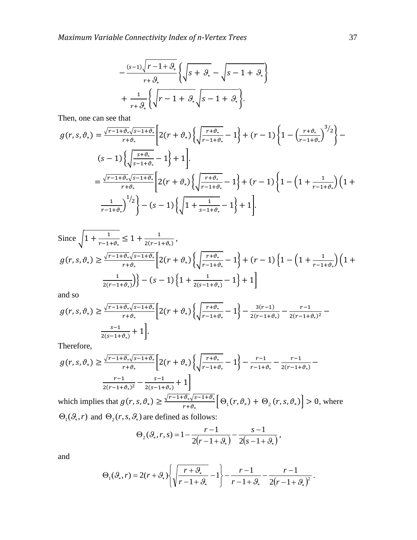$$
+\frac{(s-1)\sqrt{r-1+\vartheta_*}}{r+\vartheta_*}\left\{\sqrt{s+\vartheta_*}-\sqrt{s-1+\vartheta_*}\right\}
$$

$$
+\frac{1}{r+\vartheta_*}\left\{\sqrt{r-1+\vartheta_*}\sqrt{s-1+\vartheta_*}\right\}.
$$

Then, one can see that

$$
g(r,s,\vartheta_*) = \frac{\sqrt{r-1+\vartheta_*}\sqrt{s-1+\vartheta_*}}{r+\vartheta_*} \left[ 2(r+\vartheta_*) \left\{ \sqrt{\frac{r+\vartheta_*}{r-1+\vartheta_*}} - 1 \right\} + (r-1) \left\{ 1 - \left(\frac{r+\vartheta_*}{r-1+\vartheta_*}\right)^{3/2} \right\} - (s-1) \left\{ \sqrt{\frac{s+\vartheta_*}{s-1+\vartheta_*}} - 1 \right\} + 1 \right]
$$

$$
= \frac{\sqrt{r-1+\vartheta_*}\sqrt{s-1+\vartheta_*}}{r+\vartheta_*} \left[ 2(r+\vartheta_*) \left\{ \sqrt{\frac{r+\vartheta_*}{r-1+\vartheta_*}} - 1 \right\} + (r-1) \left\{ 1 - \left( 1 + \frac{1}{r-1+\vartheta_*} \right) \left( 1 + \frac{1}{r-1+\vartheta_*} \right)^{1/2} \right\} - (s-1) \left\{ \sqrt{1 + \frac{1}{s-1+\vartheta_*}} - 1 \right\} + 1 \right].
$$

Since 
$$
\sqrt{1 + \frac{1}{r - 1 + \vartheta_*}} \le 1 + \frac{1}{2(r - 1 + \vartheta_*)}
$$
,  
\n
$$
g(r, s, \vartheta_*) \ge \frac{\sqrt{r - 1 + \vartheta_*} \sqrt{s - 1 + \vartheta_*}}{r + \vartheta_*} \left[ 2(r + \vartheta_*) \left\{ \sqrt{\frac{r + \vartheta_*}{r - 1 + \vartheta_*}} - 1 \right\} + (r - 1) \left\{ 1 - \left( 1 + \frac{1}{r - 1 + \vartheta_*} \right) \left( 1 + \frac{1}{2(r - 1 + \vartheta_*)} \right) \right\} - (s - 1) \left\{ 1 + \frac{1}{2(s - 1 + \vartheta_*)} - 1 \right\} + 1 \right]
$$

and so

$$
g(r,s,\vartheta_*) \ge \frac{\sqrt{r-1+\vartheta_*}\sqrt{s-1+\vartheta_*}}{r+\vartheta_*} \left[2(r+\vartheta_*)\left\{\sqrt{\frac{r+\vartheta_*}{r-1+\vartheta_*}}-1\right\} - \frac{3(r-1)}{2(r-1+\vartheta_*)} - \frac{r-1}{2(r-1+\vartheta_*)^2} - \frac{s-1}{2(s-1+\vartheta_*)} + 1\right].
$$

Therefore,

$$
g(r,s,\vartheta_*) \ge \frac{\sqrt{r-1+\vartheta_*}\sqrt{s-1+\vartheta_*}}{r+\vartheta_*} \left[2(r+\vartheta_*)\left\{\sqrt{\frac{r+\vartheta_*}{r-1+\vartheta_*}}-1\right\} - \frac{r-1}{r-1+\vartheta_*} - \frac{r-1}{2(r-1+\vartheta_*)} - \frac{r-1}{2(r-1+\vartheta_*)} - \frac{r-1}{2(s-1+\vartheta_*)} + 1\right]
$$

which implies that  $g(r, s, \vartheta) \geq \frac{\sqrt{r-1} + \vartheta_s \sqrt{s}}{r}$  $\frac{\partial \psi_1}{\partial r + \partial x} \left[ \Theta_1(r, \theta_*) + \Theta_2(r, s, \theta_*) \right] > 0$ , where  $\Theta_1(\mathcal{G}_*, r)$  and  $\Theta_2(r, s, \mathcal{G}_*)$  are defined as follows:

$$
\Theta_2(\mathcal{G}_*, r, s) = 1 - \frac{r - 1}{2(r - 1 + \mathcal{G}_*)} - \frac{s - 1}{2(s - 1 + \mathcal{G}_*)},
$$

and

$$
\Theta_1(\mathcal{G}_*, r) = 2(r + \mathcal{G}_*) \left\{ \sqrt{\frac{r + \mathcal{G}_*}{r - 1 + \mathcal{G}_*}} - 1 \right\} - \frac{r - 1}{r - 1 + \mathcal{G}_*} - \frac{r - 1}{2(r - 1 + \mathcal{G}_*)^2}.
$$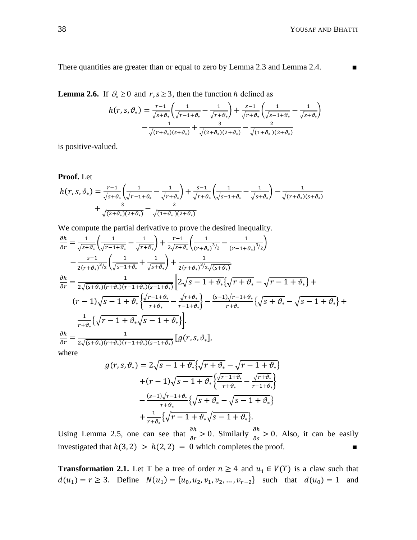There quantities are greater than or equal to zero by Lemma 2.3 and Lemma 2.4. ■

**Lemma 2.6.** If  $\mathcal{G}_* \ge 0$  and  $r, s \ge 3$ , then the function h defined as

$$
h(r, s, \vartheta_*) = \frac{r-1}{\sqrt{s+\vartheta_*}} \left( \frac{1}{\sqrt{r-1+\vartheta_*}} - \frac{1}{\sqrt{r+\vartheta_*}} \right) + \frac{s-1}{\sqrt{r+\vartheta_*}} \left( \frac{1}{\sqrt{s-1+\vartheta_*}} - \frac{1}{\sqrt{s+\vartheta_*}} \right)
$$

$$
- \frac{1}{\sqrt{(r+\vartheta_*)(s+\vartheta_*)}} + \frac{3}{\sqrt{(2+\vartheta_*)(2+\vartheta_*)}} - \frac{2}{\sqrt{(1+\vartheta_*)(2+\vartheta_*)}}
$$

is positive-valued.

**Proof.** Let

$$
h(r, s, \vartheta_*) = \frac{r-1}{\sqrt{s+\vartheta_*}} \left( \frac{1}{\sqrt{r-1+\vartheta_*}} - \frac{1}{\sqrt{r+\vartheta_*}} \right) + \frac{s-1}{\sqrt{r+\vartheta_*}} \left( \frac{1}{\sqrt{s-1+\vartheta_*}} - \frac{1}{\sqrt{s+\vartheta_*}} \right) - \frac{1}{\sqrt{(r+\vartheta_*)(s+\vartheta_*)}} + \frac{3}{\sqrt{(2+\vartheta_*)(2+\vartheta_*)}} - \frac{2}{\sqrt{(1+\vartheta_*)(2+\vartheta_*)}}.
$$

We compute the partial derivative to prove the desired inequality.

$$
\frac{\partial h}{\partial r} = \frac{1}{\sqrt{s + \vartheta_*}} \left( \frac{1}{\sqrt{r - 1 + \vartheta_*}} - \frac{1}{\sqrt{r + \vartheta_*}} \right) + \frac{r - 1}{2\sqrt{s + \vartheta_*}} \left( \frac{1}{(r + \vartheta_*)^3/2} - \frac{1}{(r - 1 + \vartheta_*)^3/2} \right)
$$
  
\n
$$
- \frac{s - 1}{2(r + \vartheta_*)^3/2} \left( \frac{1}{\sqrt{s - 1 + \vartheta_*}} + \frac{1}{\sqrt{s + \vartheta_*}} \right) + \frac{1}{2(r + \vartheta_*)^3/2\sqrt{(s + \vartheta_*)}}.
$$
  
\n
$$
\frac{\partial h}{\partial r} = \frac{1}{2\sqrt{(s + \vartheta_*)(r + \vartheta_*) (r - 1 + \vartheta_*) (s - 1 + \vartheta_*)}} \left[ 2\sqrt{s - 1 + \vartheta_*} \left\{ \sqrt{r + \vartheta_*} - \sqrt{r - 1 + \vartheta_*} \right\} + (r - 1)\sqrt{s - 1 + \vartheta_*} \left\{ \frac{\sqrt{r - 1 + \vartheta_*}}{r + \vartheta_*} - \frac{\sqrt{r + \vartheta_*}}{r - 1 + \vartheta_*} \right\} - \frac{(s - 1)\sqrt{r - 1 + \vartheta_*}}{r + \vartheta_*} \left\{ \sqrt{s + \vartheta_*} - \sqrt{s - 1 + \vartheta_*} \right\} + \frac{1}{r + \vartheta_*} \left\{ \sqrt{r - 1 + \vartheta_*} \sqrt{s - 1 + \vartheta_*} \right\}.
$$
  
\n
$$
\frac{\partial h}{\partial r} = \frac{1}{2\sqrt{(s + \vartheta_*)(r + \vartheta_*) (r - 1 + \vartheta_*) (s - 1 + \vartheta_*)}} \left[ g(r, s, \vartheta_*),
$$
  
\nwhere

where

$$
g(r,s,\vartheta_*) = 2\sqrt{s-1+\vartheta_*}\left\{\sqrt{r+\vartheta_*} - \sqrt{r-1+\vartheta_*}\right\}
$$

$$
+(r-1)\sqrt{s-1+\vartheta_*}\left\{\frac{\sqrt{r-1+\vartheta_*}}{r+\vartheta_*} - \frac{\sqrt{r+\vartheta_*}}{r-1+\vartheta_*}\right\}
$$

$$
-\frac{(s-1)\sqrt{r-1+\vartheta_*}}{r+\vartheta_*}\left\{\sqrt{s+\vartheta_*} - \sqrt{s-1+\vartheta_*}\right\}
$$

$$
+\frac{1}{r+\vartheta_*}\left\{\sqrt{r-1+\vartheta_*}\sqrt{s-1+\vartheta_*}\right\}.
$$

Using Lemma 2.5, one can see that  $\frac{\partial h}{\partial r} > 0$ . Similarly  $\frac{\partial h}{\partial s} > 0$ . Also, it can be easily investigated that  $h(3,2) > h(2,2) = 0$  which completes the proof.

**Transformation 2.1.** Let T be a tree of order  $n \ge 4$  and  $u_1 \in V(T)$  is a claw such that  $d(u_1) = r \ge 3$ . Define  $N(u_1) = \{u_0, u_2, v_1, v_2, ..., v_{r-2}\}$  such that  $d(u_0) = 1$  and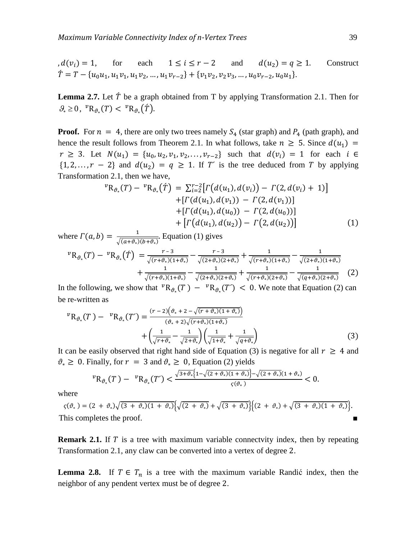$d(v_i) = 1$ , for each  $1 \le i \le r-2$  and  $d(u_2) = q \ge 1$ . Construct  $\hat{T} = T - \{u_0u_1, u_1v_1, u_1v_2, ..., u_1v_{r-2}\} + \{v_1v_2, v_2v_3, ..., u_0v_{r-2}, u_0u_1\}.$ 

**Lemma 2.7.** Let  $\acute{T}$  be a graph obtained from T by applying Transformation 2.1. Then for  $\mathcal{G}_* \geq 0$ ,  ${}^v\mathrm{R}_{\vartheta_*}(T) < {}^v\mathrm{R}_{\vartheta_*}(\tilde{T})$ .

**Proof.** For  $n = 4$ , there are only two trees namely  $S_4$  (star graph) and  $P_4$  (path graph), and hence the result follows from Theorem 2.1. In what follows, take  $n \geq 5$ . Since  $d(u_1)$  =  $r \geq 3$ . Let  $N(u_1) = \{u_0, u_2, v_1, v_2, \dots, v_{r-2}\}$  such that  $d(v_i) = 1$  for each  $i \in$  $\{1, 2, ..., r - 2\}$  and  $d(u_2) = q \ge 1$ . If T' is the tree deduced from T by applying Transformation 2.1, then we have,

$$
{}^{v}R_{\vartheta_{*}}(T) - {}^{v}R_{\vartheta_{*}}(\tilde{T}) = \sum_{i=2}^{r-2} [r(d(u_{1}), d(v_{i})) - r(2, d(v_{i}) + 1)]
$$
  
+ [r(d(u\_{1}), d(v\_{1})) - r(2, d(v\_{1}))]  
+ [r(d(u\_{1}), d(u\_{0})) - r(2, d(u\_{0}))]  
+ [r(d(u\_{1}), d(u\_{2})) - r(2, d(u\_{2}))] (1)

where  $\Gamma(a, b) = \frac{1}{\sqrt{a^2 + b^2}}$  $\frac{1}{\sqrt{(a+\vartheta_*)(b+\vartheta_*)}}$ . Equation (1) gives

$$
{}^{v}R_{\vartheta_{*}}(T) - {}^{v}R_{\vartheta_{*}}(\tilde{T}) = \frac{r-3}{\sqrt{(r+\vartheta_{*})(1+\vartheta_{*})}} - \frac{r-3}{\sqrt{(2+\vartheta_{*})(2+\vartheta_{*})}} + \frac{1}{\sqrt{(r+\vartheta_{*})(1+\vartheta_{*})}} - \frac{1}{\sqrt{(2+\vartheta_{*})(1+\vartheta_{*})}} + \frac{1}{\sqrt{(r+\vartheta_{*})(2+\vartheta_{*})}} - \frac{1}{\sqrt{(r+\vartheta_{*})(2+\vartheta_{*})}} \tag{2}
$$

In the following, we show that  ${}^v{\rm R}_{\theta_*}(T) - {}^v{\rm R}_{\theta_*}(T') < 0$ . We note that Equation (2) can be re-written as

$$
{}^{v}R_{\vartheta_{*}}(T) - {}^{v}R_{\vartheta_{*}}(T') = \frac{(r-2)(\vartheta_{*} + 2 - \sqrt{(r+\vartheta_{*})(1+\vartheta_{*})})}{(\vartheta_{*} + 2)\sqrt{(r+\vartheta_{*})(1+\vartheta_{*})}} + \left(\frac{1}{\sqrt{r+\vartheta_{*}}} - \frac{1}{\sqrt{2+\vartheta_{*}}}\right)\left(\frac{1}{\sqrt{1+\vartheta_{*}}} + \frac{1}{\sqrt{q+\vartheta_{*}}}\right)
$$
(3)

It can be easily observed that right hand side of Equation (3) is negative for all  $r \geq 4$  and  $\vartheta_* \geq 0$ . Finally, for  $r = 3$  and  $\vartheta_* \geq 0$ , Equation (2) yields

$$
{}^{v}R_{\vartheta_*}(T) - {}^{v}R_{\vartheta_*}(T') < \frac{\sqrt{3+\vartheta_*}\left\{1-\sqrt{(2+\vartheta_*)\left(1+\vartheta_*\right)}\right\}-\sqrt{(2+\vartheta_*)}\left(1+\vartheta_*\right)}{\varsigma(\vartheta_*)} < 0
$$

where

 $\zeta(\vartheta_*) = (2 + \vartheta_*)\sqrt{(3 + \vartheta_*)(1 + \vartheta_*)}\sqrt{(2 + \vartheta_*)} + \sqrt{(3 + \vartheta_*)}\left(\frac{(2 + \vartheta_*)}{(2 + \vartheta_*)} + \sqrt{(3 + \vartheta_*)^2 + (\vartheta_*)^2}\right).$ This completes the proof.

**Remark 2.1.** If T is a tree with maximum variable connectvity index, then by repeating Transformation 2.1, any claw can be converted into a vertex of degree 2.

**Lemma 2.8.** If  $T \in T_n$  is a tree with the maximum variable Randić index, then the neighbor of any pendent vertex must be of degree 2.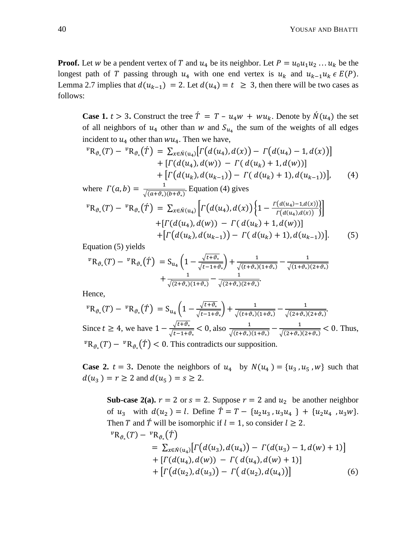**Proof.** Let w be a pendent vertex of T and  $u_4$  be its neighbor. Let  $P = u_0 u_1 u_2 ... u_k$  be the longest path of T passing through  $u_4$  with one end vertex is  $u_k$  and  $u_{k-1}u_k \in E(P)$ . Lemma 2.7 implies that  $d(u_{k-1}) = 2$ . Let  $d(u_4) = t \ge 3$ , then there will be two cases as follows:

**Case 1.**  $t > 3$ . Construct the tree  $\hat{T} = T - u_4w + w u_k$ . Denote by  $\hat{N}(u_4)$  the set of all neighbors of  $u_4$  other than w and  $S_{u_4}$  the sum of the weights of all edges incident to  $u_4$  other than  $wu_4$ . Then we have,

$$
{}^{v}R_{\vartheta_{*}}(T) - {}^{v}R_{\vartheta_{*}}(\tilde{T}) = \sum_{x \in \hat{N}(u_{4})} [r(d(u_{4}), d(x)) - r(d(u_{4}) - 1, d(x))]
$$
  
+ 
$$
[r(d(u_{4}), d(w)) - r(d(u_{k}) + 1, d(w))]
$$
  
+ 
$$
[r(d(u_{k}), d(u_{k-1})) - r(d(u_{k}) + 1), d(u_{k-1}))],
$$
 (4)

where 
$$
\Gamma(a, b) = \frac{1}{\sqrt{(a+\vartheta_*)(b+\vartheta_*)}}
$$
. Equation (4) gives  
\n
$$
{}^{v}R_{\vartheta_*}(T) - {}^{v}R_{\vartheta_*}(\tilde{T}) = \sum_{x \in \hat{N}(u_4)} \left[ \Gamma(d(u_4), d(x)) \left\{ 1 - \frac{\Gamma(d(u_4) - 1, d(x))}{\Gamma(d(u_4), d(x))} \right\} \right] + \left[ \Gamma(d(u_4), d(w)) - \Gamma(d(u_k) + 1, d(w)) \right] + \left[ \Gamma(d(u_k), d(u_{k-1})) - \Gamma(d(u_k) + 1), d(u_{k-1})) \right].
$$
\n(5)

Equation (5) yields

$$
{}^{v}R_{\vartheta_{*}}(T) - {}^{v}R_{\vartheta_{*}}(\tilde{T}) = S_{u_{4}}\left(1 - \frac{\sqrt{t + \vartheta_{*}}}{\sqrt{t - 1 + \vartheta_{*}}}\right) + \frac{1}{\sqrt{(t + \vartheta_{*})(1 + \vartheta_{*})}} - \frac{1}{\sqrt{(1 + \vartheta_{*})(2 + \vartheta_{*})}} + \frac{1}{\sqrt{(2 + \vartheta_{*})(1 + \vartheta_{*})}} - \frac{1}{\sqrt{(2 + \vartheta_{*})(2 + \vartheta_{*})}}.
$$

Hence,

$$
{}^{v}R_{\vartheta_{*}}(T) - {}^{v}R_{\vartheta_{*}}(\tilde{T}) = S_{u_{4}}\left(1 - \frac{\sqrt{t + \vartheta_{*}}}{\sqrt{t - 1 + \vartheta_{*}}}\right) + \frac{1}{\sqrt{(t + \vartheta_{*})(1 + \vartheta_{*})}} - \frac{1}{\sqrt{(2 + \vartheta_{*})(2 + \vartheta_{*})}}.
$$
  
Since  $t \ge 4$ , we have  $1 - \frac{\sqrt{t + \vartheta_{*}}}{\sqrt{t - 1 + \vartheta_{*}}} < 0$ , also  $\frac{1}{\sqrt{(t + \vartheta_{*})(1 + \vartheta_{*})}} - \frac{1}{\sqrt{(2 + \vartheta_{*})(2 + \vartheta_{*})}} < 0$ . Thus,  
 ${}^{v}R_{\vartheta_{*}}(T) - {}^{v}R_{\vartheta_{*}}(\tilde{T}) < 0$ . This contradicts our supposition.

**Case 2.**  $t = 3$ . Denote the neighbors of  $u_4$  by  $N(u_4) = \{u_3, u_5, w\}$  such that  $d(u_3) = r \geq 2$  and  $d(u_5) = s \geq 2$ .

**Sub-case 2(a).**  $r = 2$  or  $s = 2$ . Suppose  $r = 2$  and  $u_2$  be another neighbor of  $u_3$  with  $d(u_2) = l$ . Define  $\hat{T} = T - \{u_2u_3, u_3u_4\} + \{u_2u_4, u_3w\}$ . Then T and  $\acute{T}$  will be isomorphic if  $l = 1$ , so consider  $l \ge 2$ .  $^vR_{\vartheta_*}(T) - {^vR_{\vartheta_*}(T)}$  $= \sum_{x \in \hat{N}(u_4)} [ \Gamma(d(u_3), d(u_4)) - \Gamma(d(u_3) - 1, d(w) + 1) ]$  $+ [ \Gamma(d(u_4), d(w)) - \Gamma(d(u_4), d(w) + 1) ]$  $+| \Gamma(d(u_2), d(u_3)) - \Gamma(d(u_2), d(u_4)) |$  (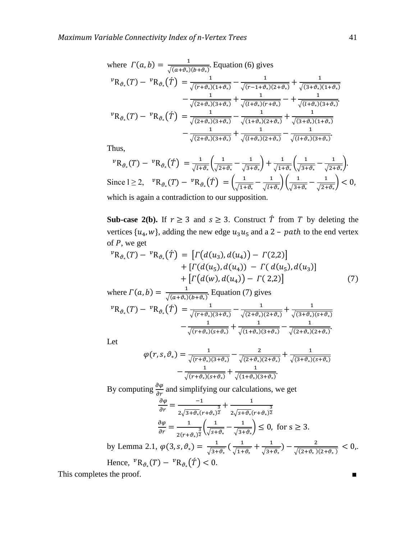where 
$$
\Gamma(a, b) = \frac{1}{\sqrt{(a+\vartheta_*)(b+\vartheta_*)}}
$$
. Equation (6) gives  
\n
$$
{}^{v}R_{\vartheta_*}(T) - {}^{v}R_{\vartheta_*}(\tilde{T}) = \frac{1}{\sqrt{(r+\vartheta_*)(1+\vartheta_*)}} - \frac{1}{\sqrt{(r-1+\vartheta_*)(2+\vartheta_*)}} + \frac{1}{\sqrt{(3+\vartheta_*)(1+\vartheta_*)}} - \frac{1}{\sqrt{(2+\vartheta_*)(3+\vartheta_*)}} + \frac{1}{\sqrt{(l+\vartheta_*)(r+\vartheta_*)}} - \frac{1}{\sqrt{(l+\vartheta_*)(r+\vartheta_*)}} - \frac{1}{\sqrt{(l+\vartheta_*)(2+\vartheta_*)}} + \frac{1}{\sqrt{(3+\vartheta_*)(1+\vartheta_*)}} - \frac{1}{\sqrt{(2+\vartheta_*)(3+\vartheta_*)}} + \frac{1}{\sqrt{(l+\vartheta_*)(2+\vartheta_*)}} - \frac{1}{\sqrt{(l+\vartheta_*)(2+\vartheta_*)}} - \frac{1}{\sqrt{(l+\vartheta_*)(3+\vartheta_*)}}
$$

Thus,

$$
{}^{v}R_{\vartheta_{*}}(T) - {}^{v}R_{\vartheta_{*}}(\hat{T}) = \frac{1}{\sqrt{l+\vartheta_{*}}} \left( \frac{1}{\sqrt{2+\vartheta_{*}}} - \frac{1}{\sqrt{3+\vartheta_{*}}} \right) + \frac{1}{\sqrt{1+\vartheta_{*}}} \left( \frac{1}{\sqrt{3+\vartheta_{*}}} - \frac{1}{\sqrt{2+\vartheta_{*}}} \right).
$$
  
Since  $l \ge 2$ ,  ${}^{v}R_{\vartheta_{*}}(T) - {}^{v}R_{\vartheta_{*}}(\hat{T}) = \left( \frac{1}{\sqrt{1+\vartheta_{*}}} - \frac{1}{\sqrt{l+\vartheta_{*}}} \right) \left( \frac{1}{\sqrt{3+\vartheta_{*}}} - \frac{1}{\sqrt{2+\vartheta_{*}}} \right) < 0$ , which is again a contradiction to our supposition.

**Sub-case 2(b).** If  $r \ge 3$  and  $s \ge 3$ . Construct  $\hat{T}$  from T by deleting the vertices  $\{u_4, w\}$ , adding the new edge  $u_3u_5$  and a 2 – path to the end vertex of  $P$ , we get

$$
{}^{v}R_{\vartheta_{*}}(T) - {}^{v}R_{\vartheta_{*}}(\tilde{T}) = [ \Gamma(d(u_{3}), d(u_{4})) - \Gamma(2,2)] + [\Gamma(d(u_{5}), d(u_{4})) - \Gamma(d(u_{5}), d(u_{3})] + [\Gamma(d(w), d(u_{4})) - \Gamma(2,2)] \tag{7}
$$

where  $\Gamma(a, b) = \frac{1}{\sqrt{a^2 + b^2}}$  $\frac{1}{\sqrt{(a+\vartheta_*)(b+\vartheta_*)}}$ . Equation (7) gives

$$
{}^{v}R_{\vartheta_{*}}(T) - {}^{v}R_{\vartheta_{*}}(\tilde{T}) = \frac{1}{\sqrt{(r+\vartheta_{*})(3+\vartheta_{*})}} - \frac{1}{\sqrt{(2+\vartheta_{*})(2+\vartheta_{*})}} + \frac{1}{\sqrt{(3+\vartheta_{*})(s+\vartheta_{*})}} - \frac{1}{\sqrt{(r+\vartheta_{*})(s+\vartheta_{*})}} + \frac{1}{\sqrt{(1+\vartheta_{*})(3+\vartheta_{*})}} - \frac{1}{\sqrt{(2+\vartheta_{*})(2+\vartheta_{*})}}.
$$

Let

$$
\varphi(r,s,\vartheta_*) = \frac{1}{\sqrt{(r+\vartheta_*)(3+\vartheta_*)}} - \frac{2}{\sqrt{(2+\vartheta_*)(2+\vartheta_*)}} + \frac{1}{\sqrt{(3+\vartheta_*)(s+\vartheta_*)}} - \frac{1}{\sqrt{(r+\vartheta_*)(s+\vartheta_*)}} + \frac{1}{\sqrt{(1+\vartheta_*)(3+\vartheta_*)}}.
$$

By computing  $\frac{\partial \psi}{\partial r}$  and simplifying our calculations, we get

$$
\frac{\partial \varphi}{\partial r} = \frac{-1}{2\sqrt{3+\vartheta_*}(r+\vartheta_*)^{\frac{3}{2}}} + \frac{1}{2\sqrt{5+\vartheta_*}(r+\vartheta_*)^{\frac{3}{2}}}
$$

$$
\frac{\partial \varphi}{\partial r} = \frac{1}{2(r+\vartheta_*)^{\frac{3}{2}}} \left(\frac{1}{\sqrt{5+\vartheta_*}} - \frac{1}{\sqrt{3+\vartheta_*}}\right) \le 0, \text{ for } s \ge 3.
$$

by Lemma 2.1,  $\varphi(3, s, \vartheta_*) = \frac{1}{\sqrt{2s}}$  $\frac{1}{\sqrt{3+\vartheta_*}}\left(\frac{1}{\sqrt{1+1}}\right)$  $\frac{1}{\sqrt{1+\vartheta_*}}+\frac{1}{\sqrt{3+1}}$  $\frac{1}{\sqrt{3+\vartheta_*}}$ ) –  $\frac{2}{\sqrt{(2+\vartheta_*)}}$  $\frac{2}{\sqrt{(2+\vartheta_*)(2+\vartheta_*)}} < 0.$ Hence,  ${}^v{\rm R}_{\vartheta_*}(T) - {}^v{\rm R}_{\vartheta_*}(\hat{T}) <$ 

This completes the proof. ■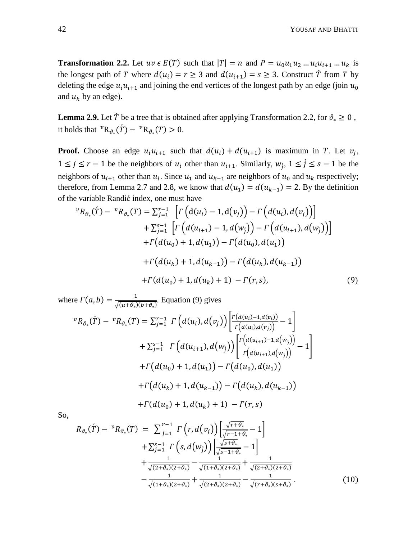**Transformation 2.2.** Let  $uv \in E(T)$  such that  $|T| = n$  and  $P = u_0 u_1 u_2 ... u_i u_{i+1} ... u_k$  is the longest path of T where  $d(u_i) = r \ge 3$  and  $d(u_{i+1}) = s \ge 3$ . Construct T from T by deleting the edge  $u_i u_{i+1}$  and joining the end vertices of the longest path by an edge (join  $u_0$ and  $u_k$  by an edge).

**Lemma 2.9.** Let  $\acute{T}$  be a tree that is obtained after applying Transformation 2.2, for  $\vartheta_* \geq 0$ , it holds that  ${}^v{\rm R}_{\vartheta_*}(\tilde{T}) - {}^v{\rm R}_{\vartheta_*}(T) > 0$ .

**Proof.** Choose an edge  $u_i u_{i+1}$  such that  $d(u_i) + d(u_{i+1})$  is maximum in T. Let  $v_i$ ,  $1 \leq j \leq r-1$  be the neighbors of  $u_i$  other than  $u_{i+1}$ . Similarly,  $w_j$ ,  $1 \leq j \leq s-1$  be the neighbors of  $u_{i+1}$  other than  $u_i$ . Since  $u_1$  and  $u_{k-1}$  are neighbors of  $u_0$  and  $u_k$  respectively; therefore, from Lemma 2.7 and 2.8, we know that  $d(u_1) = d(u_{k-1}) = 2$ . By the definition of the variable Randić index, one must have

$$
{}^{v}R_{\vartheta_{*}}(\tilde{T}) - {}^{v}R_{\vartheta_{*}}(T) = \sum_{j=1}^{r-1} \left[ \Gamma\left(d(u_{i}) - 1, d(v_{j})\right) - \Gamma\left(d(u_{i}), d(v_{j})\right) \right] + \sum_{j=1}^{s-1} \left[ \Gamma\left(d(u_{i+1}) - 1, d(w_{j})\right) - \Gamma\left(d(u_{i+1}), d(w_{j})\right) \right] + \Gamma\left(d(u_{0}) + 1, d(u_{1})\right) - \Gamma\left(d(u_{0}), d(u_{1})\right) + \Gamma\left(d(u_{k}) + 1, d(u_{k-1})\right) - \Gamma\left(d(u_{k}), d(u_{k-1})\right) + \Gamma\left(d(u_{0}) + 1, d(u_{k}) + 1\right) - \Gamma(r, s), \tag{9}
$$

where  $\Gamma(a,b) = \frac{1}{\sqrt{a^2 + b^2}}$  $\frac{1}{\sqrt{(u+\vartheta_*)(b+\vartheta_*)}}$ . Equation (9) gives

$$
{}^{v}R_{\vartheta_{*}}(\dot{T}) - {}^{v}R_{\vartheta_{*}}(T) = \sum_{j=1}^{r-1} \left[ \Gamma\left(d(u_{i}), d(v_{j})\right) \left| \frac{\Gamma(d(u_{i}) - 1, d(v_{i}))}{\Gamma(d(u_{i}), d(v_{j}))} - 1 \right| \right]
$$
  
+  $\sum_{j=1}^{s-1} \left[ \Gamma\left(d(u_{i+1}), d(w_{j})\right) \left| \frac{\Gamma\left(d(u_{i+1}) - 1, d(w_{j})\right)}{\Gamma\left(d(u_{i+1}), d(w_{j})\right)} \right| - 1 \right]$   
+  $\left[ \Gamma\left(d(u_{0}) + 1, d(u_{1})\right) - \Gamma\left(d(u_{0}), d(u_{1})\right) \right]$   
+  $\left[ \Gamma\left(d(u_{k}) + 1, d(u_{k-1})\right) - \Gamma\left(d(u_{k}), d(u_{k-1})\right) \right]$   
+  $\left[ \Gamma\left(d(u_{0}) + 1, d(u_{k}) + 1\right) - \Gamma(r, s) \right]$ 

So,

$$
R_{\vartheta_{*}}(\hat{T}) - {}^{v}R_{\vartheta_{*}}(T) = \sum_{j=1}^{r-1} \Gamma(r, d(v_{j})) \left[ \frac{\sqrt{r+\vartheta_{*}}}{\sqrt{r-1+\vartheta_{*}}} - 1 \right] + \sum_{j=1}^{s-1} \Gamma(s, d(w_{j})) \left[ \frac{\sqrt{s+\vartheta_{*}}}{\sqrt{s-1+\vartheta_{*}}} - 1 \right] + \frac{1}{\sqrt{(2+\vartheta_{*})(2+\vartheta_{*})}} - \frac{1}{\sqrt{(1+\vartheta_{*})(2+\vartheta_{*})}} + \frac{1}{\sqrt{(2+\vartheta_{*})(2+\vartheta_{*})}} - \frac{1}{\sqrt{(1+\vartheta_{*})(2+\vartheta_{*})}} + \frac{1}{\sqrt{(2+\vartheta_{*})(2+\vartheta_{*})}} - \frac{1}{\sqrt{(r+\vartheta_{*})(s+\vartheta_{*})}}.
$$
(10)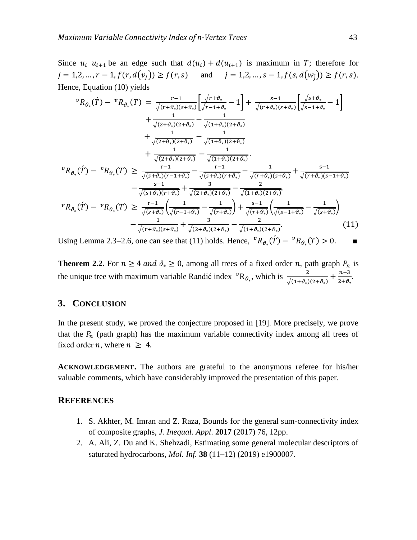Since  $u_i$   $u_{i+1}$  be an edge such that  $d(u_i) + d(u_{i+1})$  is maximum in T; therefore for  $j = 1, 2, ..., r - 1, f(r, d(v_j)) \ge f(r, s)$  and  $j = 1, 2, ..., s - 1, f(s, d(w_j)) \ge f(r, s).$ Hence, Equation (10) yields

$$
{}^{v}R_{\vartheta_{*}}(\hat{T}) - {}^{v}R_{\vartheta_{*}}(T) = \frac{r-1}{\sqrt{(r+\vartheta_{*})(s+\vartheta_{*})}} \left[ \frac{\sqrt{r+\vartheta_{*}}}{\sqrt{r-1+\vartheta_{*}}} - 1 \right] + \frac{s-1}{\sqrt{(r+\vartheta_{*})(s+\vartheta_{*})}} \left[ \frac{\sqrt{s+\vartheta_{*}}}{\sqrt{s-1+\vartheta_{*}}} - 1 \right]
$$
  
+ 
$$
\frac{1}{\sqrt{(2+\vartheta_{*})(2+\vartheta_{*})}} - \frac{1}{\sqrt{(1+\vartheta_{*})(2+\vartheta_{*})}}
$$
  
+ 
$$
\frac{1}{\sqrt{(2+\vartheta_{*})(2+\vartheta_{*})}} - \frac{1}{\sqrt{(1+\vartheta_{*})(2+\vartheta_{*})}}
$$
  
+ 
$$
\frac{1}{\sqrt{(2+\vartheta_{*})(2+\vartheta_{*})}} - \frac{1}{\sqrt{(1+\vartheta_{*})(2+\vartheta_{*})}}
$$
  

$$
{}^{v}R_{\vartheta_{*}}(\hat{T}) - {}^{v}R_{\vartheta_{*}}(T) \ge \frac{r-1}{\sqrt{(s+\vartheta_{*})(r-1+\vartheta_{*})}} - \frac{r-1}{\sqrt{(s+\vartheta_{*})(r+\vartheta_{*})}} - \frac{1}{\sqrt{(r+\vartheta_{*})(s+\vartheta_{*})}} + \frac{s-1}{\sqrt{(r+\vartheta_{*})(s-1+\vartheta_{*})}}
$$
  
- 
$$
\frac{s-1}{\sqrt{(s+\vartheta_{*})(r+\vartheta_{*})}} + \frac{3}{\sqrt{(2+\vartheta_{*})(2+\vartheta_{*})}} - \frac{2}{\sqrt{(1+\vartheta_{*})(2+\vartheta_{*})}}
$$
  

$$
{}^{v}R_{\vartheta_{*}}(\hat{T}) - {}^{v}R_{\vartheta_{*}}(T) \ge \frac{r-1}{\sqrt{(s+\vartheta_{*})}} \left( \frac{1}{\sqrt{(r-1+\vartheta_{*})}} - \frac{1}{\sqrt{(r+\vartheta_{*})}} \right) + \frac{s-1}{\sqrt{(r+\vartheta_{*})}} \left( \frac{1}{\sqrt{(s-1+\vartheta_{*})}} - \frac{1}{\sqrt{(s+\vartheta_{*})}}
$$
  
- 
$$
\frac{1}{\sqrt{(r+\vartheta_{*})(s+\vartheta_{*})}} + \frac{3}{\sqrt{(2+\vartheta_{*})(2+\vartheta_{*})}}
$$

Using Lemma 2.3–2.6, one can see that (11) holds. Hence,  ${}^{\nu}R_{\vartheta_{\nu}}(\tilde{T}) - {}^{\nu}R_{\vartheta_{\nu}}(T) > 0$ .

**Theorem 2.2.** For  $n \ge 4$  and  $\vartheta_* \ge 0$ , among all trees of a fixed order *n*, path graph  $P_n$  is the unique tree with maximum variable Randić index  ${}^{\nu}R_{\vartheta_{*}}$ , which is  $\frac{2}{\sqrt{(1+\vartheta_{*})(2+\vartheta_{*})}} + \frac{n}{2}$  $rac{n-3}{2+\vartheta_*}$ 

### **3. CONCLUSION**

In the present study, we proved the conjecture proposed in [19]. More precisely, we prove that the  $P_n$  (path graph) has the maximum variable connectivity index among all trees of fixed order *n*, where  $n \geq 4$ .

**ACKNOWLEDGEMENT.** The authors are grateful to the anonymous referee for his/her valuable comments, which have considerably improved the presentation of this paper.

#### **REFERENCES**

- 1. S. Akhter, M. Imran and Z. Raza, Bounds for the general sum-connectivity index of composite graphs, *J. Inequal. Appl*. **2017** (2017) 76, 12pp.
- 2. A. Ali, Z. Du and K. Shehzadi, Estimating some general molecular descriptors of saturated hydrocarbons, *Mol. Inf.* **38** (11-12) (2019) e1900007.